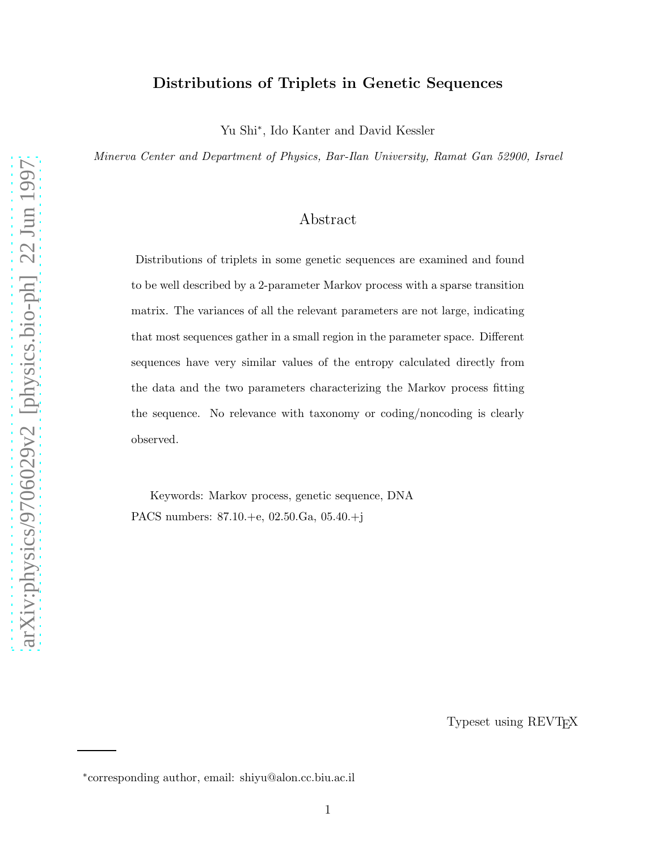# Distributions of Triplets in Genetic Sequences

Yu Shi<sup>∗</sup> , Ido Kanter and David Kessler

Minerva Center and Department of Physics, Bar-Ilan University, Ramat Gan 52900, Israel

# Abstract

Distributions of triplets in some genetic sequences are examined and found to be well described by a 2-parameter Markov process with a sparse transition matrix. The variances of all the relevant parameters are not large, indicating that most sequences gather in a small region in the parameter space. Different sequences have very similar values of the entropy calculated directly from the data and the two parameters characterizing the Markov process fitting the sequence. No relevance with taxonomy or coding/noncoding is clearly observed.

Keywords: Markov process, genetic sequence, DNA PACS numbers: 87.10.+e, 02.50.Ga, 05.40.+j

Typeset using REVTEX

<sup>∗</sup> corresponding author, email: shiyu@alon.cc.biu.ac.il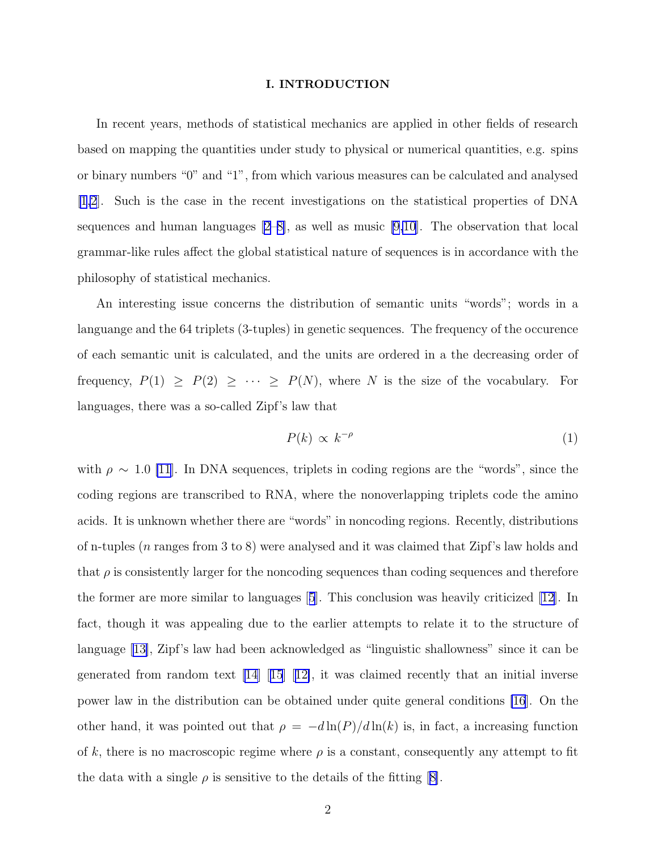#### I. INTRODUCTION

In recent years, methods of statistical mechanics are applied in other fields of research based on mapping the quantities under study to physical or numerical quantities, e.g. spins or binary numbers "0" and "1", from which various measures can be calculated and analysed [\[1,2](#page-8-0)]. Such is the case in the recent investigations on the statistical properties of DNA sequences and human languages [\[2–8\]](#page-8-0), as well as music [\[9,10](#page-8-0)]. The observation that local grammar-like rules affect the global statistical nature of sequences is in accordance with the philosophy of statistical mechanics.

An interesting issue concerns the distribution of semantic units "words"; words in a languange and the 64 triplets (3-tuples) in genetic sequences. The frequency of the occurence of each semantic unit is calculated, and the units are ordered in a the decreasing order of frequency,  $P(1) \geq P(2) \geq \cdots \geq P(N)$ , where N is the size of the vocabulary. For languages, there was a so-called Zipf's law that

$$
P(k) \propto k^{-\rho} \tag{1}
$$

with  $\rho \sim 1.0$  [\[11](#page-8-0)]. In DNA sequences, triplets in coding regions are the "words", since the coding regions are transcribed to RNA, where the nonoverlapping triplets code the amino acids. It is unknown whether there are "words" in noncoding regions. Recently, distributions of n-tuples (*n* ranges from 3 to 8) were analysed and it was claimed that  $\mathbb{Zipf}$ 's law holds and that  $\rho$  is consistently larger for the noncoding sequences than coding sequences and therefore the former are more similar to languages[[5](#page-8-0)]. This conclusion was heavily criticized [\[12\]](#page-8-0). In fact, though it was appealing due to the earlier attempts to relate it to the structure of language [\[13\]](#page-8-0), Zipf's law had been acknowledged as "linguistic shallowness" since it can be generatedfrom random text  $\begin{bmatrix} 14 \\ 15 \end{bmatrix}$  $\begin{bmatrix} 14 \\ 15 \end{bmatrix}$  $\begin{bmatrix} 14 \\ 15 \end{bmatrix}$   $\begin{bmatrix} 12 \\ 12 \end{bmatrix}$ , it was claimed recently that an initial inverse power law in the distribution can be obtained under quite general conditions [\[16](#page-9-0)]. On the other hand, it was pointed out that  $\rho = -d \ln(P)/d \ln(k)$  is, in fact, a increasing function of k, there is no macroscopic regime where  $\rho$  is a constant, consequently any attempt to fit thedata with a single  $\rho$  is sensitive to the details of the fitting [[8\]](#page-8-0).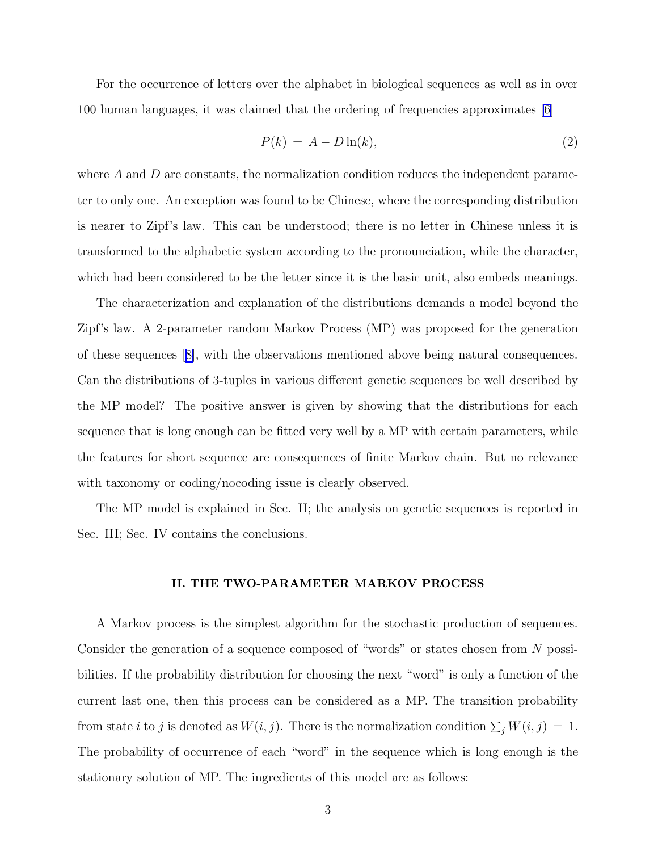<span id="page-2-0"></span>For the occurrence of letters over the alphabet in biological sequences as well as in over 100 human languages, it was claimed that the ordering of frequencies approximates [\[6](#page-8-0)]

$$
P(k) = A - D\ln(k),\tag{2}
$$

where  $A$  and  $D$  are constants, the normalization condition reduces the independent parameter to only one. An exception was found to be Chinese, where the corresponding distribution is nearer to Zipf's law. This can be understood; there is no letter in Chinese unless it is transformed to the alphabetic system according to the pronounciation, while the character, which had been considered to be the letter since it is the basic unit, also embeds meanings.

The characterization and explanation of the distributions demands a model beyond the Zipf's law. A 2-parameter random Markov Process (MP) was proposed for the generation of these sequences[[8\]](#page-8-0), with the observations mentioned above being natural consequences. Can the distributions of 3-tuples in various different genetic sequences be well described by the MP model? The positive answer is given by showing that the distributions for each sequence that is long enough can be fitted very well by a MP with certain parameters, while the features for short sequence are consequences of finite Markov chain. But no relevance with taxonomy or coding/nocoding issue is clearly observed.

The MP model is explained in Sec. II; the analysis on genetic sequences is reported in Sec. III; Sec. IV contains the conclusions.

### II. THE TWO-PARAMETER MARKOV PROCESS

A Markov process is the simplest algorithm for the stochastic production of sequences. Consider the generation of a sequence composed of "words" or states chosen from N possibilities. If the probability distribution for choosing the next "word" is only a function of the current last one, then this process can be considered as a MP. The transition probability from state *i* to *j* is denoted as  $W(i, j)$ . There is the normalization condition  $\sum_j W(i, j) = 1$ . The probability of occurrence of each "word" in the sequence which is long enough is the stationary solution of MP. The ingredients of this model are as follows: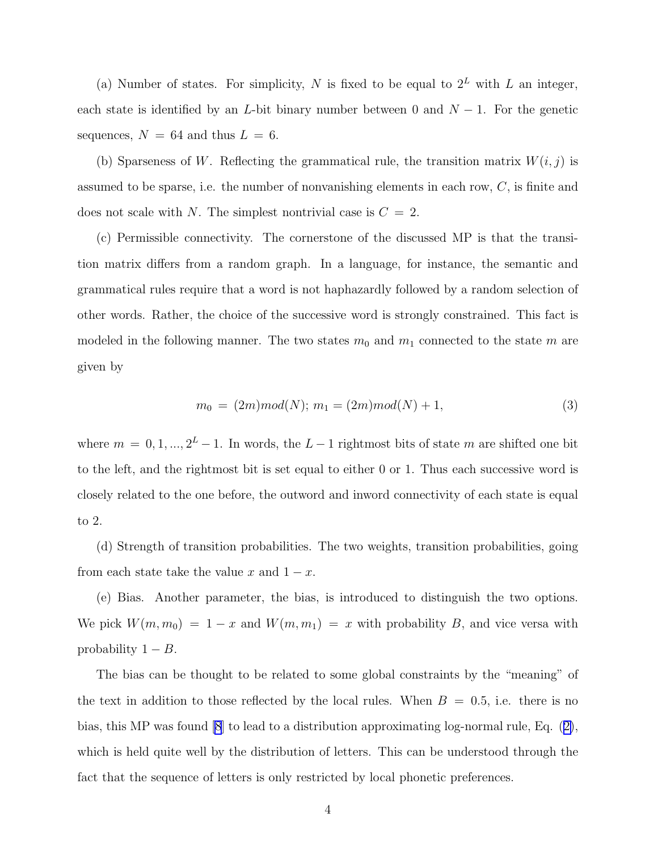(a) Number of states. For simplicity, N is fixed to be equal to  $2^L$  with L an integer, each state is identified by an L-bit binary number between 0 and  $N-1$ . For the genetic sequences,  $N = 64$  and thus  $L = 6$ .

(b) Sparseness of W. Reflecting the grammatical rule, the transition matrix  $W(i, j)$  is assumed to be sparse, i.e. the number of nonvanishing elements in each row,  $C$ , is finite and does not scale with N. The simplest nontrivial case is  $C = 2$ .

(c) Permissible connectivity. The cornerstone of the discussed MP is that the transition matrix differs from a random graph. In a language, for instance, the semantic and grammatical rules require that a word is not haphazardly followed by a random selection of other words. Rather, the choice of the successive word is strongly constrained. This fact is modeled in the following manner. The two states  $m_0$  and  $m_1$  connected to the state m are given by

$$
m_0 = (2m)mod(N); m_1 = (2m)mod(N) + 1,
$$
\n(3)

where  $m = 0, 1, ..., 2^L - 1$ . In words, the  $L - 1$  rightmost bits of state m are shifted one bit to the left, and the rightmost bit is set equal to either 0 or 1. Thus each successive word is closely related to the one before, the outword and inword connectivity of each state is equal to 2.

(d) Strength of transition probabilities. The two weights, transition probabilities, going from each state take the value x and  $1 - x$ .

(e) Bias. Another parameter, the bias, is introduced to distinguish the two options. We pick  $W(m, m_0) = 1 - x$  and  $W(m, m_1) = x$  with probability B, and vice versa with probability  $1 - B$ .

The bias can be thought to be related to some global constraints by the "meaning" of the text in addition to those reflected by the local rules. When  $B = 0.5$ , i.e. there is no bias, this MP was found [\[8](#page-8-0)] to lead to a distribution approximating log-normal rule, Eq.([2\)](#page-2-0), which is held quite well by the distribution of letters. This can be understood through the fact that the sequence of letters is only restricted by local phonetic preferences.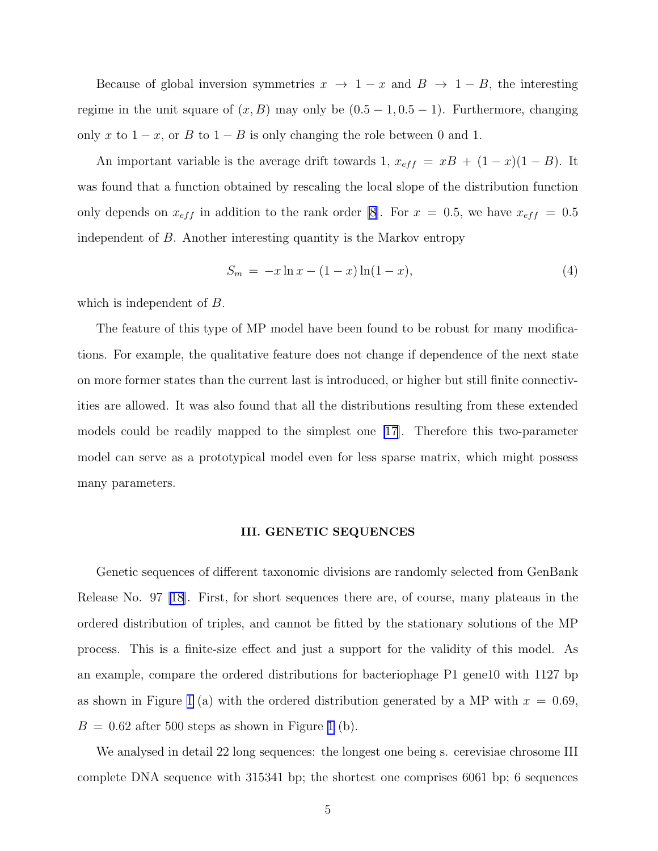Because of global inversion symmetries  $x \to 1 - x$  and  $B \to 1 - B$ , the interesting regime in the unit square of  $(x, B)$  may only be  $(0.5 - 1, 0.5 - 1)$ . Furthermore, changing only x to  $1 - x$ , or B to  $1 - B$  is only changing the role between 0 and 1.

An important variable is the average drift towards 1,  $x_{eff} = xB + (1 - x)(1 - B)$ . It was found that a function obtained by rescaling the local slope of the distribution function only depends on  $x_{eff}$  in addition to the rank order [\[8](#page-8-0)]. For  $x = 0.5$ , we have  $x_{eff} = 0.5$ independent of B. Another interesting quantity is the Markov entropy

$$
S_m = -x \ln x - (1 - x) \ln(1 - x), \tag{4}
$$

which is independent of  $B$ .

The feature of this type of MP model have been found to be robust for many modifications. For example, the qualitative feature does not change if dependence of the next state on more former states than the current last is introduced, or higher but still finite connectivities are allowed. It was also found that all the distributions resulting from these extended models could be readily mapped to the simplest one [\[17](#page-9-0)]. Therefore this two-parameter model can serve as a prototypical model even for less sparse matrix, which might possess many parameters.

### III. GENETIC SEQUENCES

Genetic sequences of different taxonomic divisions are randomly selected from GenBank Release No. 97 [\[18\]](#page-9-0). First, for short sequences there are, of course, many plateaus in the ordered distribution of triples, and cannot be fitted by the stationary solutions of the MP process. This is a finite-size effect and just a support for the validity of this model. As an example, compare the ordered distributions for bacteriophage P1 gene10 with 1127 bp as shown in Figure [1](#page-10-0) (a) with the ordered distribution generated by a MP with  $x = 0.69$ ,  $B = 0.62$  after 500 steps as shown in Figure [1](#page-10-0) (b).

We analysed in detail 22 long sequences: the longest one being s. cerevisiae chrosome III complete DNA sequence with 315341 bp; the shortest one comprises 6061 bp; 6 sequences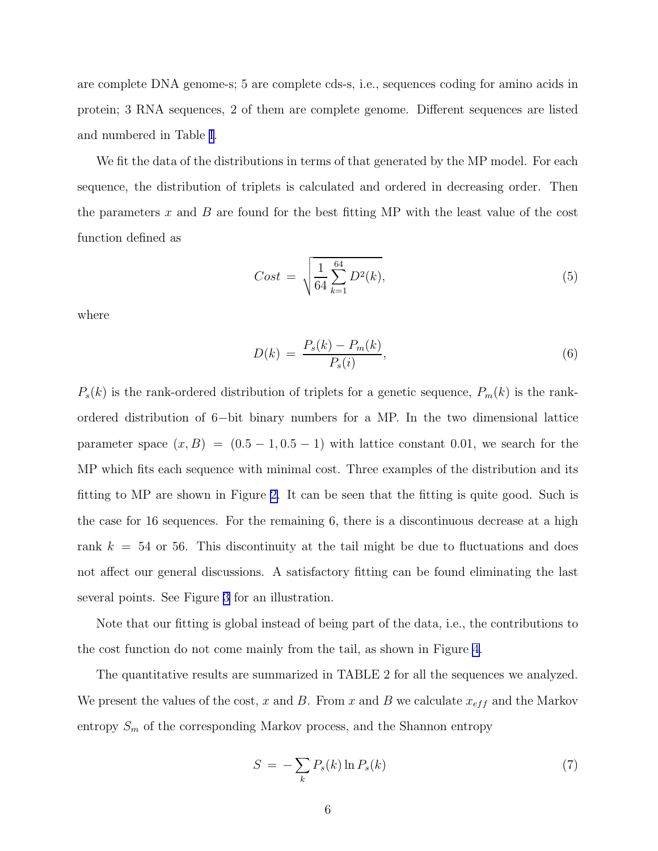are complete DNA genome-s; 5 are complete cds-s, i.e., sequences coding for amino acids in protein; 3 RNA sequences, 2 of them are complete genome. Different sequences are listed and numbered in Table [I](#page-11-0).

We fit the data of the distributions in terms of that generated by the MP model. For each sequence, the distribution of triplets is calculated and ordered in decreasing order. Then the parameters  $x$  and  $B$  are found for the best fitting MP with the least value of the cost function defined as

$$
Cost = \sqrt{\frac{1}{64} \sum_{k=1}^{64} D^2(k)},
$$
\n(5)

where

$$
D(k) = \frac{P_s(k) - P_m(k)}{P_s(i)},
$$
\n(6)

 $P_s(k)$  is the rank-ordered distribution of triplets for a genetic sequence,  $P_m(k)$  is the rankordered distribution of 6−bit binary numbers for a MP. In the two dimensional lattice parameter space  $(x, B) = (0.5 - 1, 0.5 - 1)$  with lattice constant 0.01, we search for the MP which fits each sequence with minimal cost. Three examples of the distribution and its fitting to MP are shown in Figure [2.](#page-10-0) It can be seen that the fitting is quite good. Such is the case for 16 sequences. For the remaining 6, there is a discontinuous decrease at a high rank  $k = 54$  or 56. This discontinuity at the tail might be due to fluctuations and does not affect our general discussions. A satisfactory fitting can be found eliminating the last several points. See Figure [3](#page-10-0) for an illustration.

Note that our fitting is global instead of being part of the data, i.e., the contributions to the cost function do not come mainly from the tail, as shown in Figure [4](#page-10-0).

The quantitative results are summarized in TABLE 2 for all the sequences we analyzed. We present the values of the cost, x and B. From x and B we calculate  $x_{eff}$  and the Markov entropy  $S_m$  of the corresponding Markov process, and the Shannon entropy

$$
S = -\sum_{k} P_s(k) \ln P_s(k) \tag{7}
$$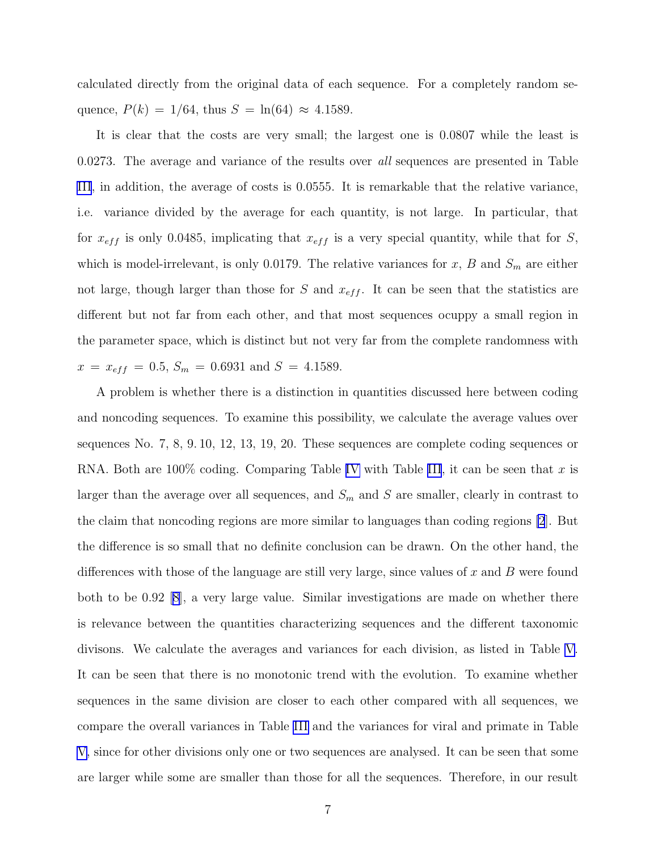calculated directly from the original data of each sequence. For a completely random sequence,  $P(k) = 1/64$ , thus  $S = \ln(64) \approx 4.1589$ .

It is clear that the costs are very small; the largest one is 0.0807 while the least is 0.0273. The average and variance of the results over all sequences are presented in Table [III](#page-14-0), in addition, the average of costs is 0.0555. It is remarkable that the relative variance, i.e. variance divided by the average for each quantity, is not large. In particular, that for  $x_{eff}$  is only 0.0485, implicating that  $x_{eff}$  is a very special quantity, while that for S, which is model-irrelevant, is only 0.0179. The relative variances for x, B and  $S_m$  are either not large, though larger than those for  $S$  and  $x_{eff}$ . It can be seen that the statistics are different but not far from each other, and that most sequences ocuppy a small region in the parameter space, which is distinct but not very far from the complete randomness with  $x = x_{eff} = 0.5, S_m = 0.6931 \text{ and } S = 4.1589.$ 

A problem is whether there is a distinction in quantities discussed here between coding and noncoding sequences. To examine this possibility, we calculate the average values over sequences No. 7, 8, 9. 10, 12, 13, 19, 20. These sequences are complete coding sequences or RNA. Both are  $100\%$  coding. Comparing Table [IV](#page-14-0) with Table [III](#page-14-0), it can be seen that x is larger than the average over all sequences, and  $S_m$  and S are smaller, clearly in contrast to the claim that noncoding regions are more similar to languages than coding regions [\[2](#page-8-0)]. But the difference is so small that no definite conclusion can be drawn. On the other hand, the differences with those of the language are still very large, since values of  $x$  and  $B$  were found both to be 0.92 [\[8\]](#page-8-0), a very large value. Similar investigations are made on whether there is relevance between the quantities characterizing sequences and the different taxonomic divisons. We calculate the averages and variances for each division, as listed in Table [V.](#page-15-0) It can be seen that there is no monotonic trend with the evolution. To examine whether sequences in the same division are closer to each other compared with all sequences, we compare the overall variances in Table [III](#page-14-0) and the variances for viral and primate in Table [V,](#page-15-0) since for other divisions only one or two sequences are analysed. It can be seen that some are larger while some are smaller than those for all the sequences. Therefore, in our result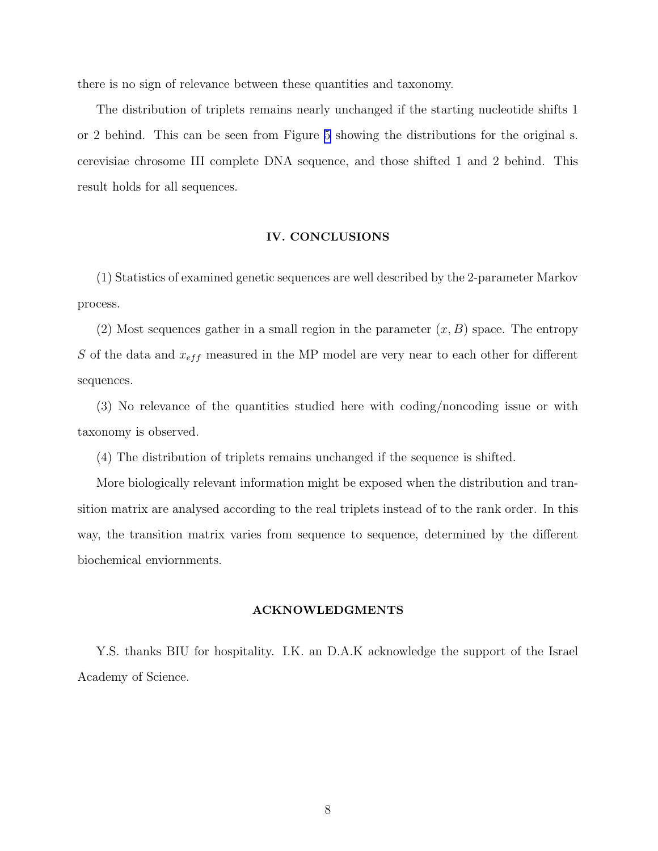there is no sign of relevance between these quantities and taxonomy.

The distribution of triplets remains nearly unchanged if the starting nucleotide shifts 1 or 2 behind. This can be seen from Figure [5](#page-10-0) showing the distributions for the original s. cerevisiae chrosome III complete DNA sequence, and those shifted 1 and 2 behind. This result holds for all sequences.

### IV. CONCLUSIONS

(1) Statistics of examined genetic sequences are well described by the 2-parameter Markov process.

(2) Most sequences gather in a small region in the parameter  $(x, B)$  space. The entropy S of the data and  $x_{eff}$  measured in the MP model are very near to each other for different sequences.

(3) No relevance of the quantities studied here with coding/noncoding issue or with taxonomy is observed.

(4) The distribution of triplets remains unchanged if the sequence is shifted.

More biologically relevant information might be exposed when the distribution and transition matrix are analysed according to the real triplets instead of to the rank order. In this way, the transition matrix varies from sequence to sequence, determined by the different biochemical enviornments.

### ACKNOWLEDGMENTS

Y.S. thanks BIU for hospitality. I.K. an D.A.K acknowledge the support of the Israel Academy of Science.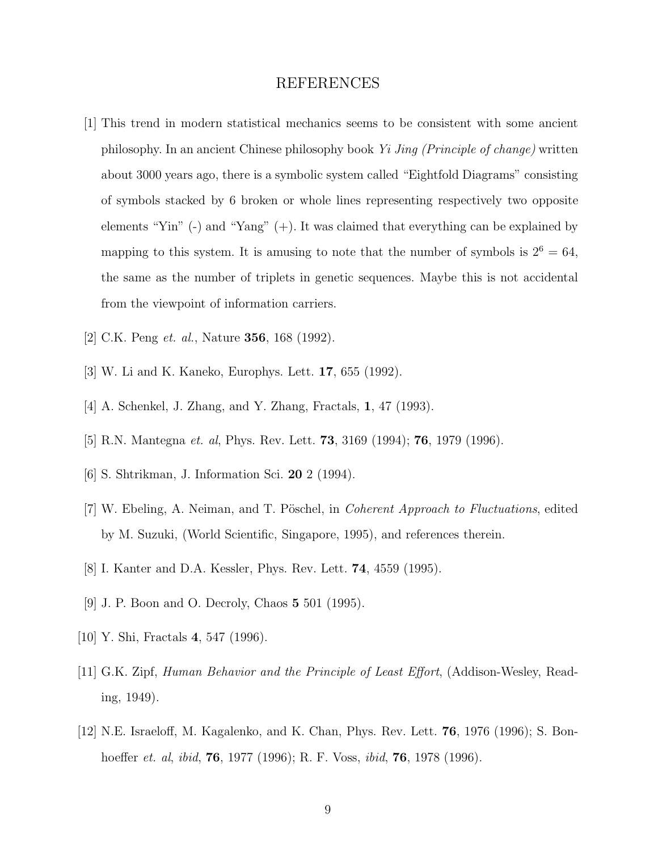### REFERENCES

- <span id="page-8-0"></span>[1] This trend in modern statistical mechanics seems to be consistent with some ancient philosophy. In an ancient Chinese philosophy book Yi Jing (Principle of change) written about 3000 years ago, there is a symbolic system called "Eightfold Diagrams" consisting of symbols stacked by 6 broken or whole lines representing respectively two opposite elements "Yin"  $(-)$  and "Yang"  $(+)$ . It was claimed that everything can be explained by mapping to this system. It is amusing to note that the number of symbols is  $2^6 = 64$ , the same as the number of triplets in genetic sequences. Maybe this is not accidental from the viewpoint of information carriers.
- [2] C.K. Peng *et. al.*, Nature **356**, 168 (1992).
- [3] W. Li and K. Kaneko, Europhys. Lett. 17, 655 (1992).
- [4] A. Schenkel, J. Zhang, and Y. Zhang, Fractals, 1, 47 (1993).
- [5] R.N. Mantegna *et. al*, Phys. Rev. Lett. **73**, 3169 (1994); **76**, 1979 (1996).
- [6] S. Shtrikman, J. Information Sci. 20 2 (1994).
- [7] W. Ebeling, A. Neiman, and T. Pöschel, in *Coherent Approach to Fluctuations*, edited by M. Suzuki, (World Scientific, Singapore, 1995), and references therein.
- [8] I. Kanter and D.A. Kessler, Phys. Rev. Lett. 74, 4559 (1995).
- [9] J. P. Boon and O. Decroly, Chaos **5** 501 (1995).
- [10] Y. Shi, Fractals 4, 547 (1996).
- [11] G.K. Zipf, Human Behavior and the Principle of Least Effort, (Addison-Wesley, Reading, 1949).
- [12] N.E. Israeloff, M. Kagalenko, and K. Chan, Phys. Rev. Lett. 76, 1976 (1996); S. Bonhoeffer *et. al, ibid,* **76**, 1977 (1996); R. F. Voss, *ibid*, **76**, 1978 (1996).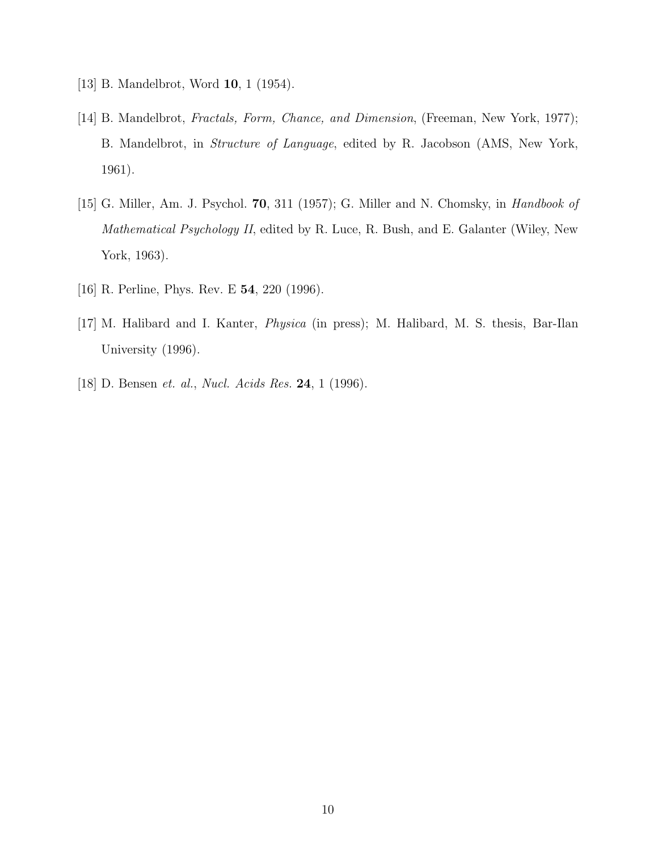- <span id="page-9-0"></span>[13] B. Mandelbrot, Word **10**, 1 (1954).
- [14] B. Mandelbrot, Fractals, Form, Chance, and Dimension, (Freeman, New York, 1977); B. Mandelbrot, in Structure of Language, edited by R. Jacobson (AMS, New York, 1961).
- [15] G. Miller, Am. J. Psychol. **70**, 311 (1957); G. Miller and N. Chomsky, in *Handbook of* Mathematical Psychology II, edited by R. Luce, R. Bush, and E. Galanter (Wiley, New York, 1963).
- [16] R. Perline, Phys. Rev. E **54**, 220 (1996).
- [17] M. Halibard and I. Kanter, Physica (in press); M. Halibard, M. S. thesis, Bar-Ilan University (1996).
- [18] D. Bensen et. al., Nucl. Acids Res. 24, 1 (1996).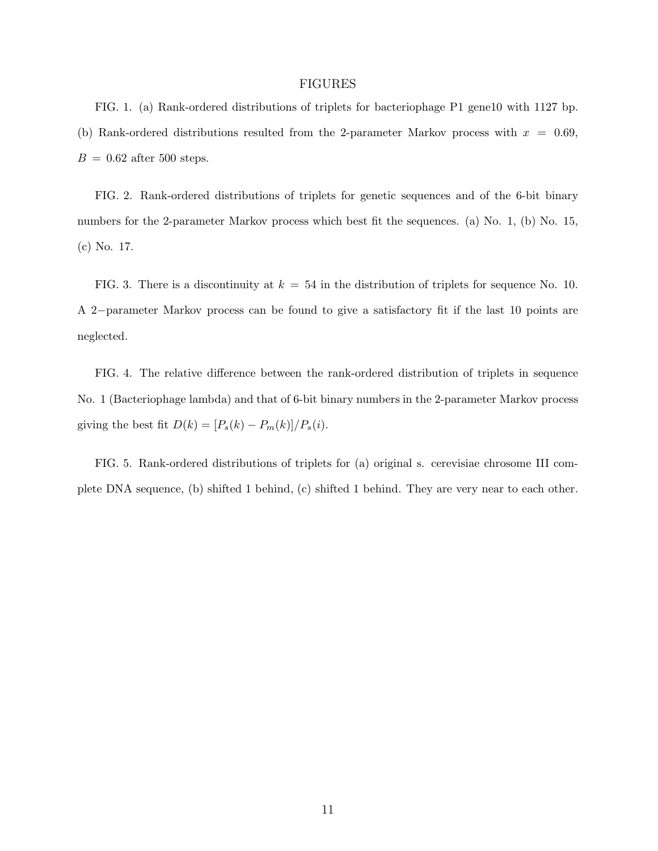### FIGURES

<span id="page-10-0"></span>FIG. 1. (a) Rank-ordered distributions of triplets for bacteriophage P1 gene10 with 1127 bp. (b) Rank-ordered distributions resulted from the 2-parameter Markov process with  $x = 0.69$ ,  $B = 0.62$  after 500 steps.

FIG. 2. Rank-ordered distributions of triplets for genetic sequences and of the 6-bit binary numbers for the 2-parameter Markov process which best fit the sequences. (a) No. 1, (b) No. 15, (c) No. 17.

FIG. 3. There is a discontinuity at  $k = 54$  in the distribution of triplets for sequence No. 10. A 2−parameter Markov process can be found to give a satisfactory fit if the last 10 points are neglected.

FIG. 4. The relative difference between the rank-ordered distribution of triplets in sequence No. 1 (Bacteriophage lambda) and that of 6-bit binary numbers in the 2-parameter Markov process giving the best fit  $D(k) = [P_s(k) - P_m(k)]/P_s(i)$ .

FIG. 5. Rank-ordered distributions of triplets for (a) original s. cerevisiae chrosome III complete DNA sequence, (b) shifted 1 behind, (c) shifted 1 behind. They are very near to each other.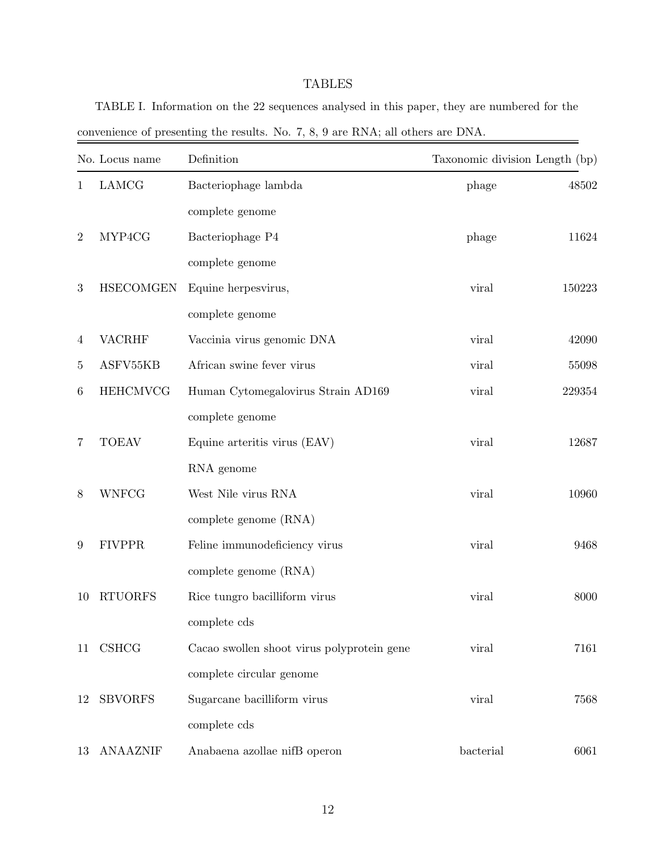# TABLES

<span id="page-11-0"></span>TABLE I. Information on the 22 sequences analysed in this paper, they are numbered for the convenience of presenting the results. No. 7, 8, 9 are RNA; all others are DNA.  $\equiv$ 

|                | No. Locus name   | Definition                                 |           | Taxonomic division Length (bp) |  |
|----------------|------------------|--------------------------------------------|-----------|--------------------------------|--|
| $\mathbf{1}$   | <b>LAMCG</b>     | Bacteriophage lambda                       | phage     | 48502                          |  |
|                |                  | complete genome                            |           |                                |  |
| $\mathbf{2}$   | MYP4CG           | Bacteriophage P4                           | phage     | 11624                          |  |
|                |                  | complete genome                            |           |                                |  |
| $\sqrt{3}$     | <b>HSECOMGEN</b> | Equine herpesvirus,                        | viral     | 150223                         |  |
|                |                  | complete genome                            |           |                                |  |
| 4              | <b>VACRHF</b>    | Vaccinia virus genomic DNA                 | viral     | 42090                          |  |
| $\overline{5}$ | ASFV55KB         | African swine fever virus                  | viral     | 55098                          |  |
| $6\,$          | <b>HEHCMVCG</b>  | Human Cytomegalovirus Strain AD169         | viral     | $229354\,$                     |  |
|                |                  | complete genome                            |           |                                |  |
| $\overline{7}$ | <b>TOEAV</b>     | Equine arteritis virus (EAV)               | viral     | 12687                          |  |
|                |                  | RNA genome                                 |           |                                |  |
| $8\phantom{1}$ | <b>WNFCG</b>     | West Nile virus RNA                        | viral     | 10960                          |  |
|                |                  | complete genome (RNA)                      |           |                                |  |
| 9              | <b>FIVPPR</b>    | Feline immunodeficiency virus              | viral     | 9468                           |  |
|                |                  | complete genome (RNA)                      |           |                                |  |
| 10             | <b>RTUORFS</b>   | Rice tungro bacilliform virus              | viral     | 8000                           |  |
|                |                  | complete cds                               |           |                                |  |
| 11             | <b>CSHCG</b>     | Cacao swollen shoot virus polyprotein gene | viral     | 7161                           |  |
|                |                  | complete circular genome                   |           |                                |  |
| 12             | <b>SBVORFS</b>   | Sugarcane bacilliform virus                | viral     | 7568                           |  |
|                |                  | complete cds                               |           |                                |  |
| 13             | <b>ANAAZNIF</b>  | Anabaena azollae nifB operon               | bacterial | 6061                           |  |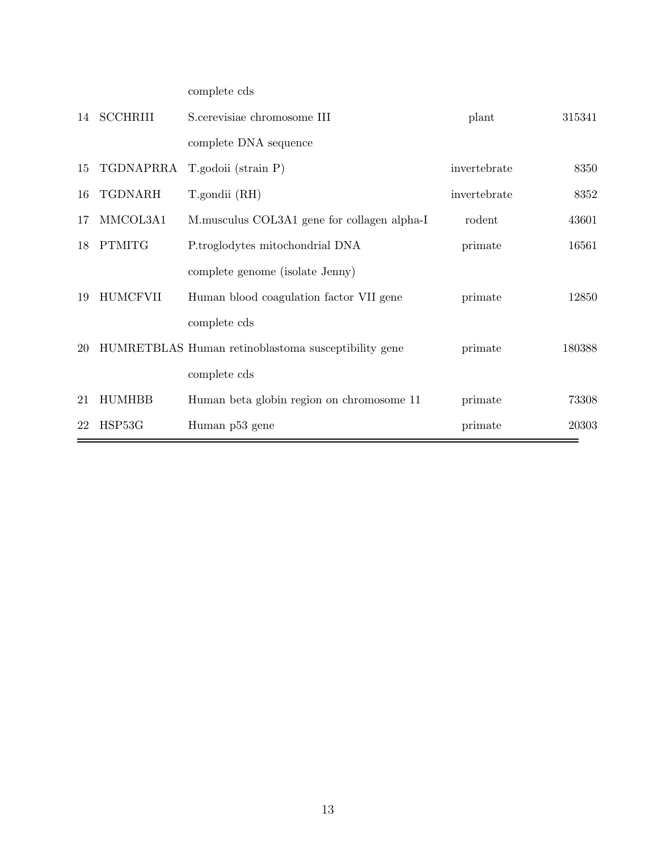complete cds

| 14 | <b>SCCHRIII</b> | S. cerevisiae chromosome III                        | plant        | 315341 |
|----|-----------------|-----------------------------------------------------|--------------|--------|
|    |                 | complete DNA sequence                               |              |        |
| 15 | TGDNAPRRA       | T.godoii (strain P)                                 | invertebrate | 8350   |
| 16 | <b>TGDNARH</b>  | T.gondii (RH)                                       | invertebrate | 8352   |
| 17 | MMCOL3A1        | M. musculus COL3A1 gene for collagen alpha-I        | rodent       | 43601  |
| 18 | <b>PTMITG</b>   | P.troglodytes mitochondrial DNA                     | primate      | 16561  |
|    |                 | complete genome (isolate Jenny)                     |              |        |
| 19 | <b>HUMCFVII</b> | Human blood coagulation factor VII gene             | primate      | 12850  |
|    |                 | complete cds                                        |              |        |
| 20 |                 | HUMRETBLAS Human retinoblastoma susceptibility gene | primate      | 180388 |
|    |                 | complete cds                                        |              |        |
| 21 | <b>HUMHBB</b>   | Human beta globin region on chromosome 11           | primate      | 73308  |
| 22 | HSP53G          | Human p53 gene                                      | primate      | 20303  |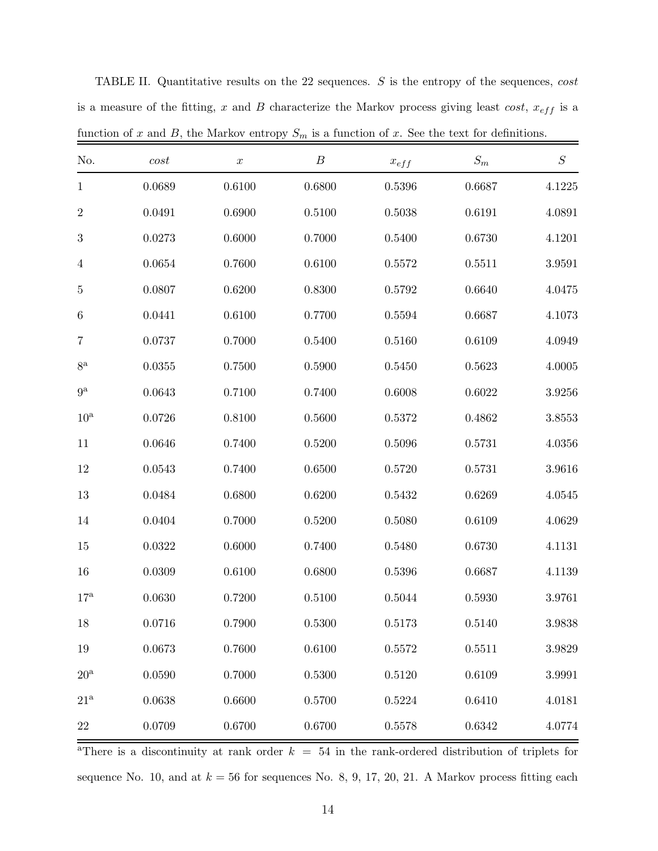| No.             | cost   | $\boldsymbol{x}$ | $\boldsymbol{B}$ | $\boldsymbol{x_{eff}}$ | $\mathcal{S}_m$ | $\cal S$   |
|-----------------|--------|------------------|------------------|------------------------|-----------------|------------|
| $\mathbf{1}$    | 0.0689 | 0.6100           | 0.6800           | $0.5396\,$             | 0.6687          | $4.1225\,$ |
| $\,2$           | 0.0491 | 0.6900           | 0.5100           | 0.5038                 | 0.6191          | 4.0891     |
| $\sqrt{3}$      | 0.0273 | 0.6000           | 0.7000           | 0.5400                 | 0.6730          | 4.1201     |
| $\overline{4}$  | 0.0654 | 0.7600           | 0.6100           | 0.5572                 | 0.5511          | 3.9591     |
| $\bf 5$         | 0.0807 | 0.6200           | 0.8300           | $0.5792\,$             | 0.6640          | 4.0475     |
| $\,6\,$         | 0.0441 | 0.6100           | 0.7700           | $\!.5594$              | 0.6687          | 4.1073     |
| 7               | 0.0737 | 0.7000           | 0.5400           | 0.5160                 | 0.6109          | 4.0949     |
| $8^{\rm a}$     | 0.0355 | 0.7500           | 0.5900           | 0.5450                 | 0.5623          | 4.0005     |
| $9^{\rm a}$     | 0.0643 | 0.7100           | 0.7400           | 0.6008                 | 0.6022          | $3.9256\,$ |
| $10^{\rm a}$    | 0.0726 | 0.8100           | 0.5600           | $0.5372\,$             | 0.4862          | $3.8553\,$ |
| $11\,$          | 0.0646 | 0.7400           | 0.5200           | 0.5096                 | 0.5731          | 4.0356     |
| 12              | 0.0543 | 0.7400           | 0.6500           | 0.5720                 | 0.5731          | 3.9616     |
| 13              | 0.0484 | 0.6800           | 0.6200           | $0.5432\,$             | 0.6269          | 4.0545     |
| 14              | 0.0404 | 0.7000           | 0.5200           | 0.5080                 | 0.6109          | 4.0629     |
| 15              | 0.0322 | 0.6000           | 0.7400           | 0.5480                 | 0.6730          | 4.1131     |
| 16              | 0.0309 | 0.6100           | 0.6800           | $0.5396\,$             | 0.6687          | 4.1139     |
| $17^{\rm a}$    | 0.0630 | 0.7200           | 0.5100           | $\,0.5044\,$           | $0.5930\,$      | 3.9761     |
| 18              | 0.0716 | 0.7900           | 0.5300           | 0.5173                 | 0.5140          | 3.9838     |
| 19              | 0.0673 | 0.7600           | 0.6100           | $0.5572\,$             | 0.5511          | $3.9829\,$ |
| 20 <sup>a</sup> | 0.0590 | 0.7000           | 0.5300           | 0.5120                 | 0.6109          | 3.9991     |
| $21^{\rm a}$    | 0.0638 | 0.6600           | 0.5700           | 0.5224                 | 0.6410          | 4.0181     |
| 22              | 0.0709 | 0.6700           | 0.6700           | $0.5578\,$             | 0.6342          | 4.0774     |

TABLE II. Quantitative results on the 22 sequences. S is the entropy of the sequences, cost is a measure of the fitting, x and B characterize the Markov process giving least  $cost$ ,  $x_{eff}$  is a function of x and B, the Markov entropy  $S_m$  is a function of x. See the text for definitions.

<sup>a</sup>There is a discontinuity at rank order  $k = 54$  in the rank-ordered distribution of triplets for sequence No. 10, and at  $k = 56$  for sequences No. 8, 9, 17, 20, 21. A Markov process fitting each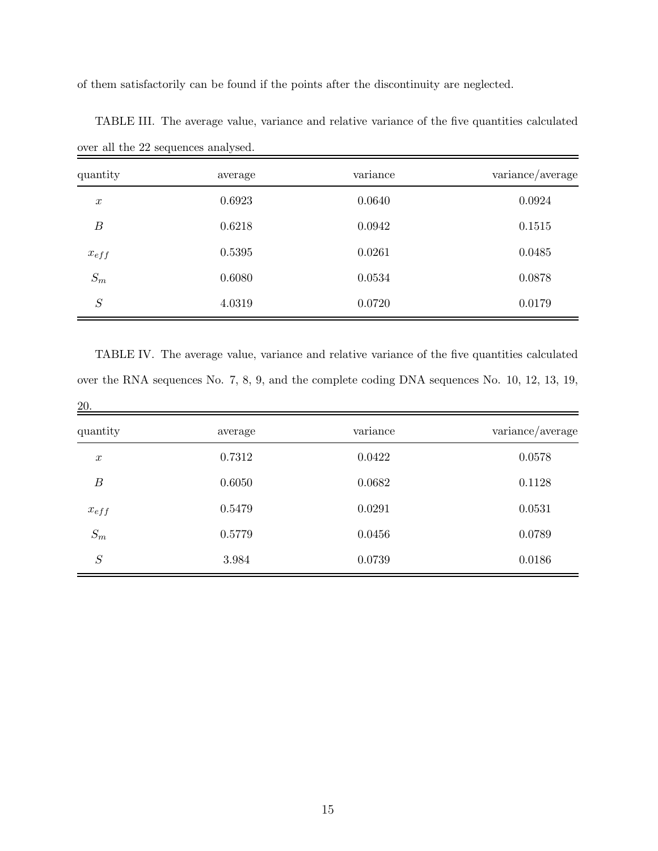<span id="page-14-0"></span>of them satisfactorily can be found if the points after the discontinuity are neglected.

| quantity         | average | variance | variance/average |
|------------------|---------|----------|------------------|
| $\boldsymbol{x}$ | 0.6923  | 0.0640   | 0.0924           |
| В                | 0.6218  | 0.0942   | 0.1515           |
| $x_{eff}$        | 0.5395  | 0.0261   | 0.0485           |
| $S_m$            | 0.6080  | 0.0534   | 0.0878           |
| S                | 4.0319  | 0.0720   | 0.0179           |

TABLE III. The average value, variance and relative variance of the five quantities calculated over all the 22 sequences analysed.

TABLE IV. The average value, variance and relative variance of the five quantities calculated over the RNA sequences No. 7, 8, 9, and the complete coding DNA sequences No. 10, 12, 13, 19, 20.

| quantity         | average | variance | variance/average |
|------------------|---------|----------|------------------|
| $\boldsymbol{x}$ | 0.7312  | 0.0422   | 0.0578           |
| B                | 0.6050  | 0.0682   | 0.1128           |
| $x_{eff}$        | 0.5479  | 0.0291   | 0.0531           |
| $S_m$            | 0.5779  | 0.0456   | 0.0789           |
| S                | 3.984   | 0.0739   | 0.0186           |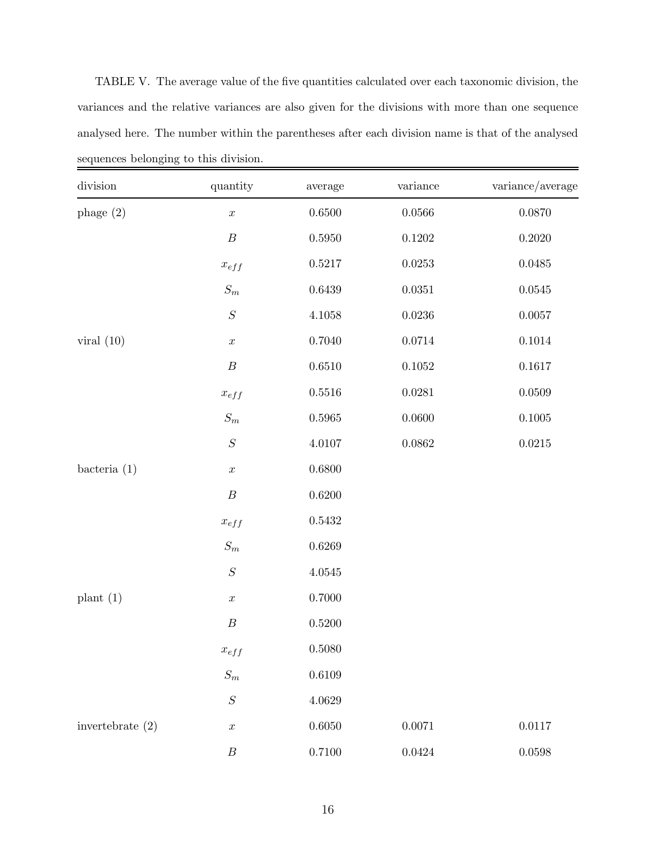<span id="page-15-0"></span>TABLE V. The average value of the five quantities calculated over each taxonomic division, the variances and the relative variances are also given for the divisions with more than one sequence analysed here. The number within the parentheses after each division name is that of the analysed sequences belonging to this division.

| division           | quantity               | average    | variance   | variance/average |
|--------------------|------------------------|------------|------------|------------------|
| phage $(2)$        | $\boldsymbol{x}$       | 0.6500     | 0.0566     | 0.0870           |
|                    | $\boldsymbol{B}$       | $0.5950\,$ | 0.1202     | 0.2020           |
|                    | $\boldsymbol{x_{eff}}$ | 0.5217     | 0.0253     | $0.0485\,$       |
|                    | $S_m$                  | 0.6439     | 0.0351     | $0.0545\,$       |
|                    | $\cal S$               | 4.1058     | 0.0236     | $0.0057\,$       |
| viral $(10)$       | $\boldsymbol{x}$       | 0.7040     | $0.0714\,$ | $0.1014\,$       |
|                    | $\boldsymbol{B}$       | 0.6510     | 0.1052     | 0.1617           |
|                    | $x_{eff}$              | 0.5516     | 0.0281     | $0.0509\,$       |
|                    | $S_m$                  | 0.5965     | 0.0600     | $0.1005\,$       |
|                    | $\cal S$               | 4.0107     | 0.0862     | $0.0215\,$       |
| bacteria $(1)$     | $\boldsymbol{x}$       | 0.6800     |            |                  |
|                    | $\boldsymbol{B}$       | 0.6200     |            |                  |
|                    | $x_{eff}$              | 0.5432     |            |                  |
|                    | $\mathcal{S}_m$        | 0.6269     |            |                  |
|                    | $\cal S$               | 4.0545     |            |                  |
| plant $(1)$        | $\boldsymbol{x}$       | 0.7000     |            |                  |
|                    | $\boldsymbol{B}$       | $0.5200\,$ |            |                  |
|                    | $x_{eff}$              | $0.5080\,$ |            |                  |
|                    | $\mathcal{S}_m$        | 0.6109     |            |                  |
|                    | $\cal S$               | $4.0629\,$ |            |                  |
| invertebrate $(2)$ | $\boldsymbol{x}$       | 0.6050     | 0.0071     | $0.0117\,$       |
|                    | $\boldsymbol{B}$       | $0.7100\,$ | 0.0424     | $0.0598\,$       |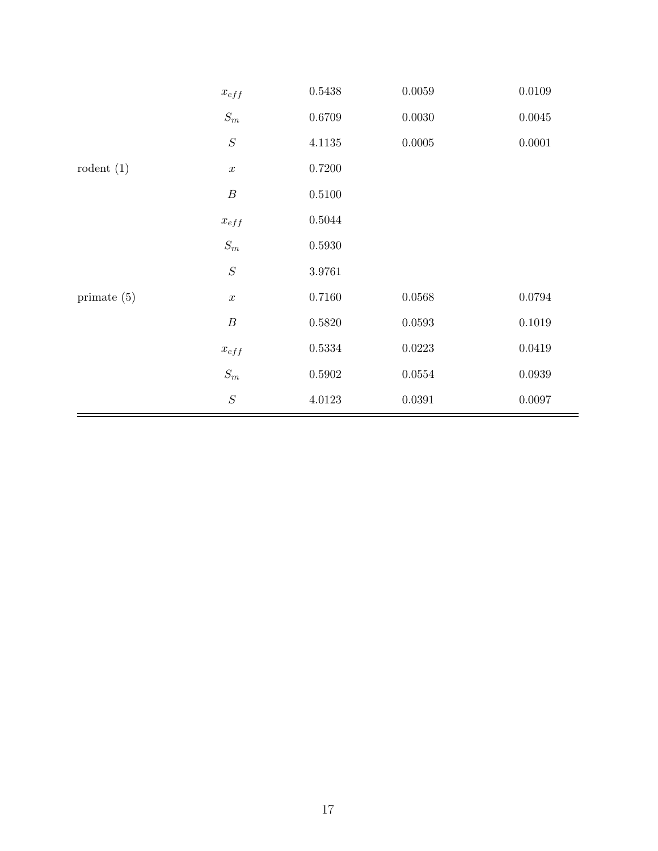|               | $x_{eff}$        | $0.5438\,$ | 0.0059     | 0.0109     |
|---------------|------------------|------------|------------|------------|
|               | $\mathcal{S}_m$  | 0.6709     | 0.0030     | $0.0045\,$ |
|               | $\cal S$         | 4.1135     | $0.0005\,$ | $0.0001\,$ |
| rodent $(1)$  | $\boldsymbol{x}$ | 0.7200     |            |            |
|               | $\boldsymbol{B}$ | $0.5100\,$ |            |            |
|               | $x_{eff}$        | $0.5044\,$ |            |            |
|               | $\mathcal{S}_m$  | $0.5930\,$ |            |            |
|               | $\cal S$         | 3.9761     |            |            |
| primate $(5)$ | $\boldsymbol{x}$ | 0.7160     | 0.0568     | 0.0794     |
|               | $\boldsymbol{B}$ | 0.5820     | 0.0593     | 0.1019     |
|               | $x_{eff}$        | $0.5334\,$ | 0.0223     | 0.0419     |
|               | $\mathcal{S}_m$  | $0.5902\,$ | $0.0554\,$ | 0.0939     |
|               | $\cal S$         | $4.0123\,$ | 0.0391     | $0.0097\,$ |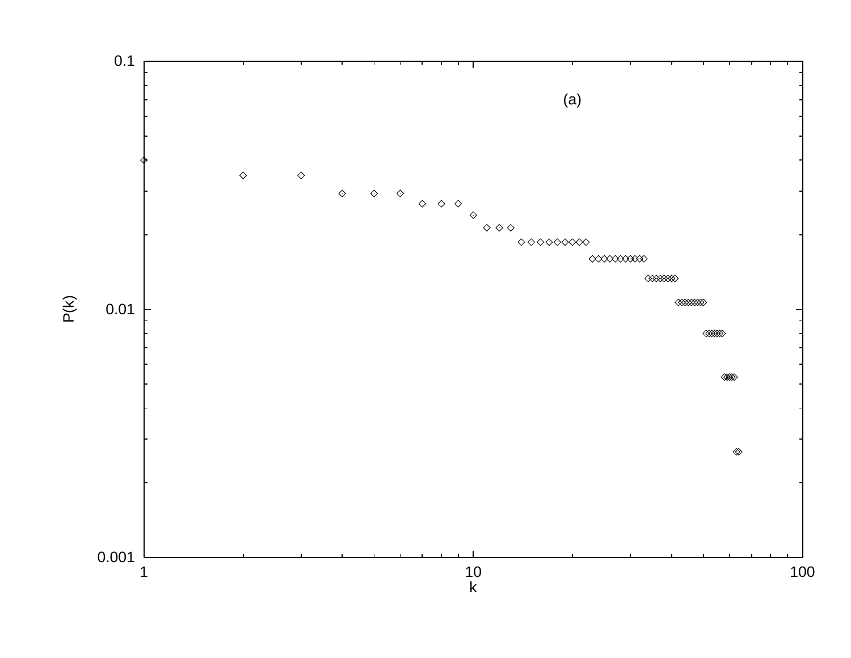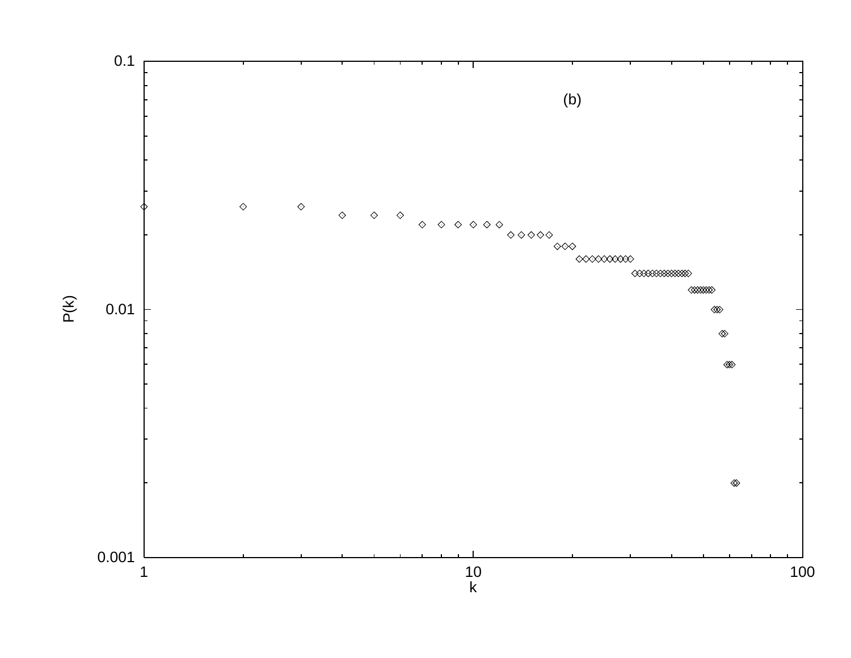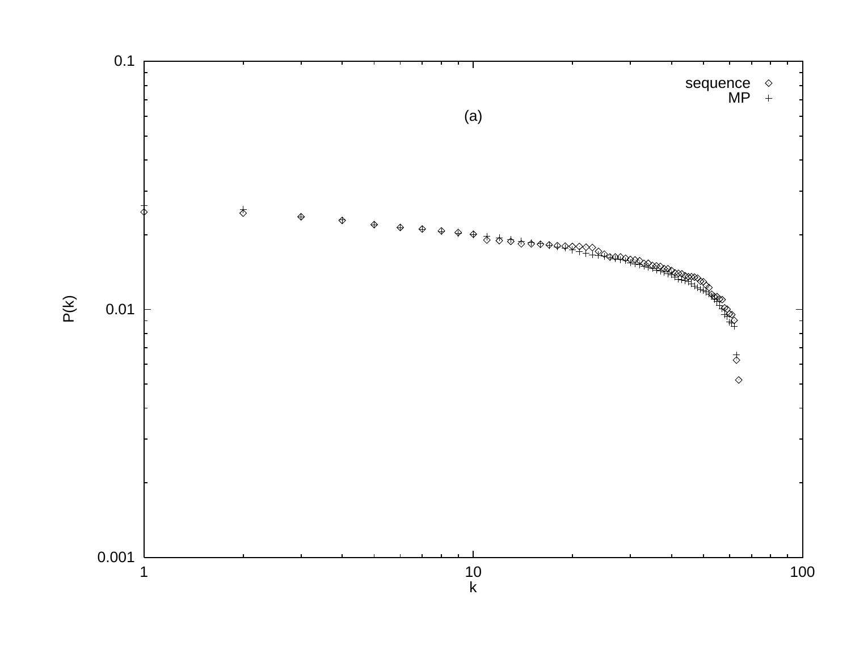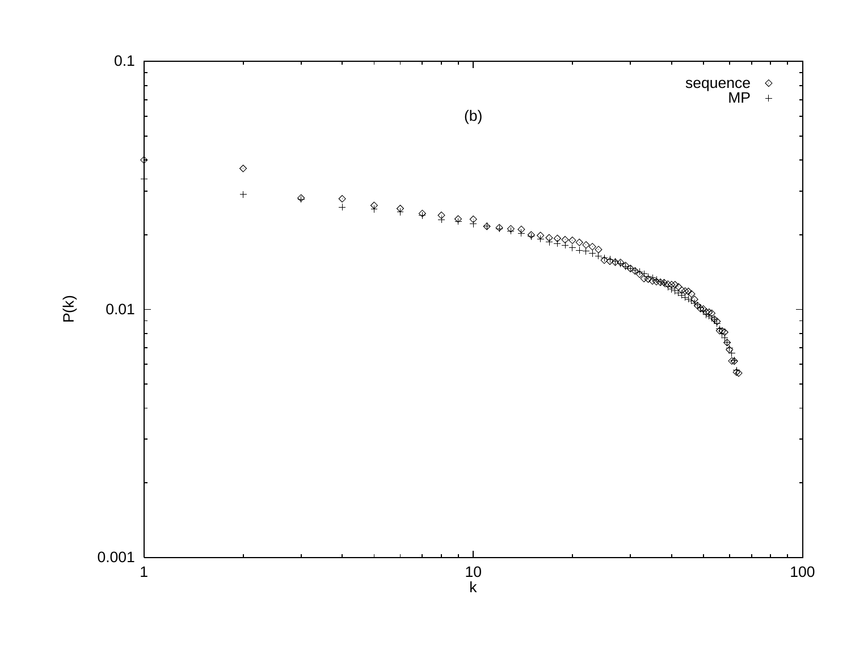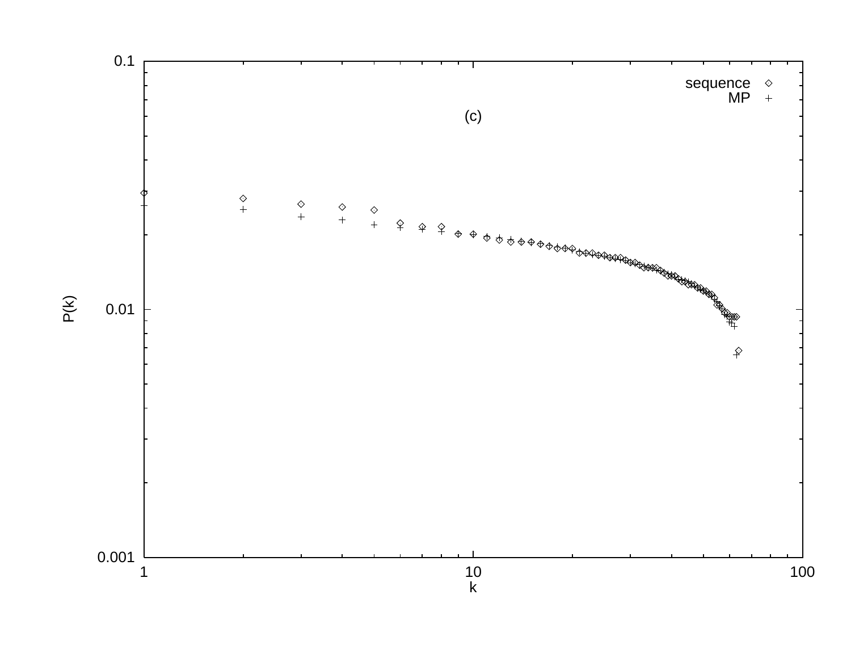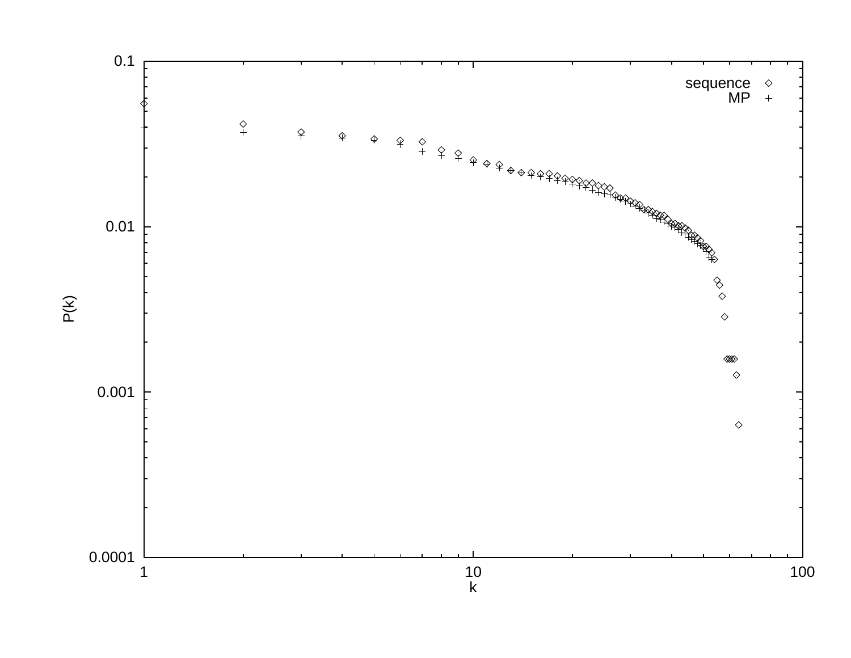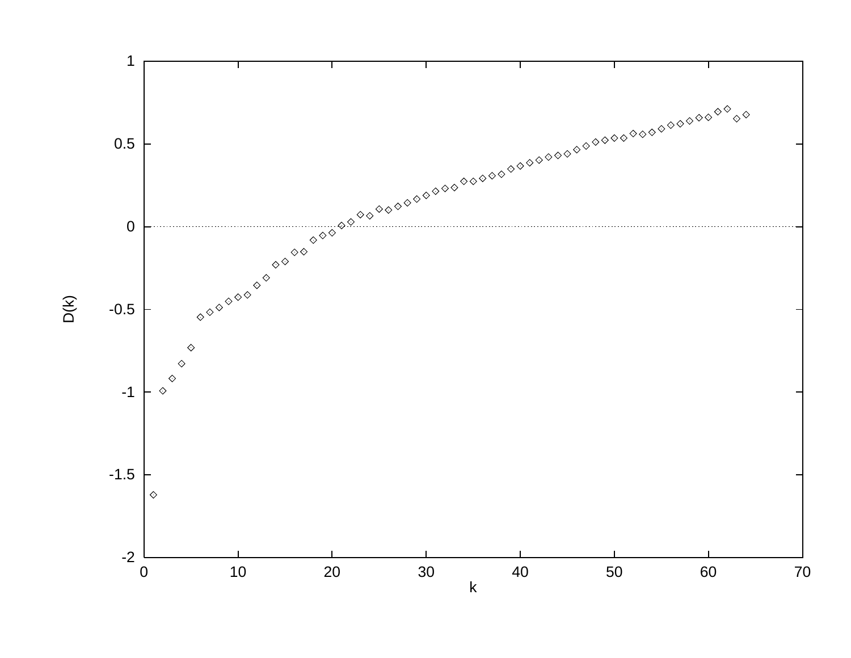

D(k)